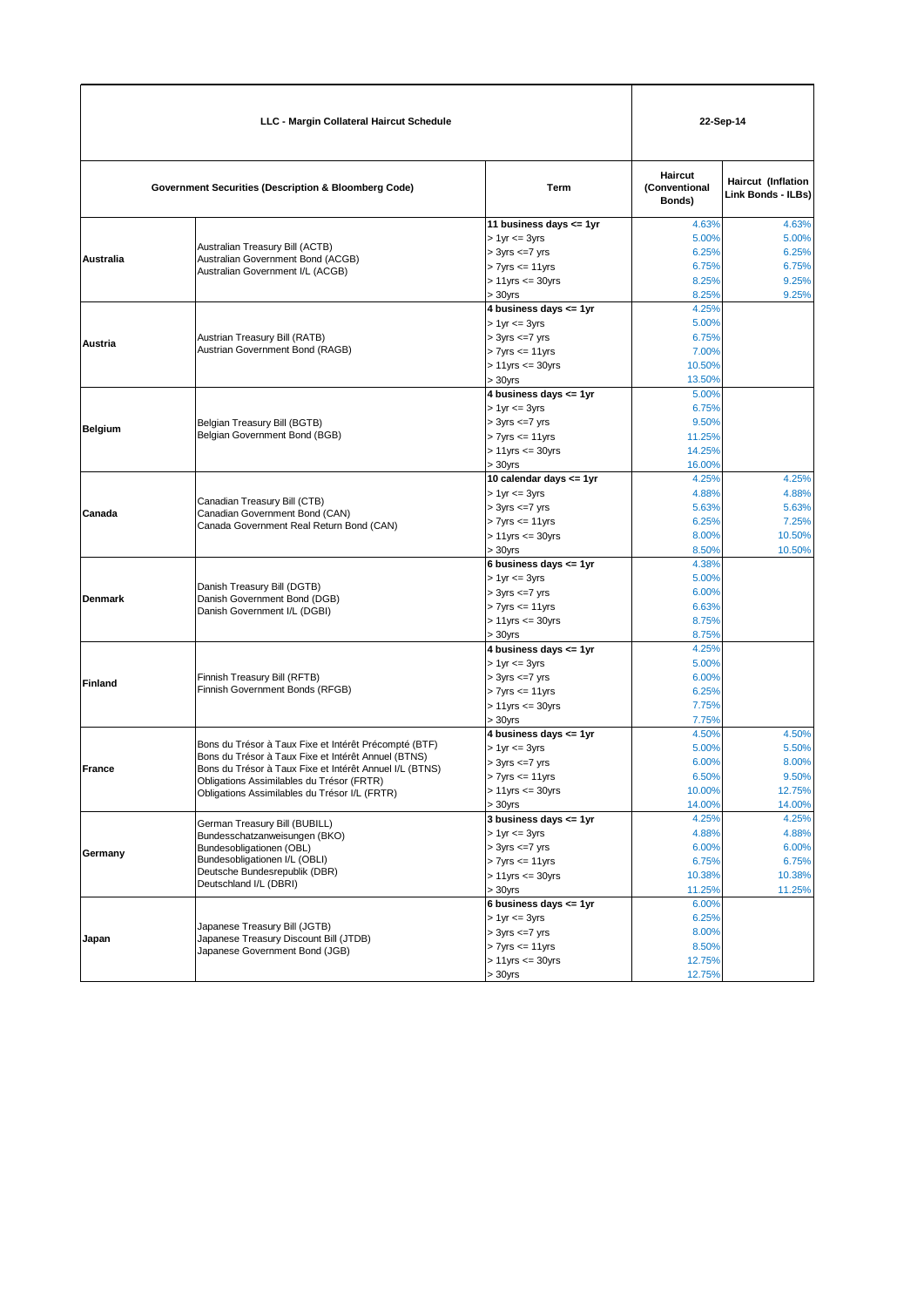| Haircut<br>Haircut (Inflation<br><b>Government Securities (Description &amp; Bloomberg Code)</b><br>Term<br>(Conventional<br>Link Bonds - ILBs)<br>Bonds)<br>11 business days <= 1yr<br>4.63%<br>4.63%<br>$> 1$ yr $<= 3$ yrs<br>5.00%<br>5.00%<br>Australian Treasury Bill (ACTB)<br>$> 3yrs \leq -7yrs$<br>6.25%<br>6.25%<br><b>Australia</b><br>Australian Government Bond (ACGB)<br>$> 7$ yrs $\le$ 11yrs<br>6.75%<br>6.75%<br>Australian Government I/L (ACGB)<br>8.25%<br>9.25%<br>$> 11$ yrs $<= 30$ yrs<br>9.25%<br>$>30$ vrs<br>8.25%<br>4 business days <= 1yr<br>4.25%<br>5.00%<br>$> 1$ yr $= 3$ yrs<br>$>$ 3yrs $\leq$ 7 yrs<br>6.75%<br>Austrian Treasury Bill (RATB)<br>Austria<br>Austrian Government Bond (RAGB)<br>$> 7$ yrs $<= 11$ yrs<br>7.00%<br>$> 11$ yrs $<= 30$ yrs<br>10.50%<br>$> 30$ yrs<br>13.50%<br>4 business days <= 1yr<br>5.00%<br>$> 1$ yr $\leq$ 3yrs<br>6.75%<br>Belgian Treasury Bill (BGTB)<br>$>$ 3yrs $\leq$ 7 yrs<br>9.50%<br><b>Belgium</b><br>Belgian Government Bond (BGB)<br>$> 7yrs \leq 11yrs$<br>11.25%<br>$> 11$ yrs $<= 30$ yrs<br>14.25%<br>16.00%<br>$>30$ vrs<br>10 calendar days <= 1yr<br>4.25%<br>4.25%<br>$> 1$ yr $= 3$ yrs<br>4.88%<br>4.88%<br>Canadian Treasury Bill (CTB)<br>5.63%<br>5.63%<br>$>$ 3yrs $\leq$ 7 yrs<br>Canadian Government Bond (CAN)<br>Canada<br>7.25%<br>$> 7$ yrs $\le$ 11yrs<br>6.25%<br>Canada Government Real Return Bond (CAN)<br>$> 11$ yrs $<= 30$ yrs<br>8.00%<br>10.50%<br>10.50%<br>8.50%<br>$> 30$ yrs<br>4.38%<br>6 business days $\leq$ 1yr<br>$> 1$ yr $= 3$ yrs<br>5.00%<br>Danish Treasury Bill (DGTB)<br>$>$ 3yrs $\leq$ 7 yrs<br>6.00%<br>Danish Government Bond (DGB)<br><b>Denmark</b><br>$> 7$ yrs $\le$ 11yrs<br>6.63%<br>Danish Government I/L (DGBI)<br>$> 11$ yrs $<= 30$ yrs<br>8.75%<br>8.75%<br>$> 30$ yrs<br>4 business days <= 1yr<br>4.25%<br>$> 1$ yr $= 3$ yrs<br>5.00%<br>$>$ 3yrs $\leq$ 7 yrs<br>Finnish Treasury Bill (RFTB)<br>6.00%<br><b>Finland</b><br>Finnish Government Bonds (RFGB)<br>$> 7$ yrs $\le$ 11yrs<br>6.25%<br>$> 11$ yrs $<= 30$ yrs<br>7.75%<br>$> 30$ yrs<br>7.75%<br>4.50%<br>4 business days <= 1yr<br>4.50%<br>Bons du Trésor à Taux Fixe et Intérêt Précompté (BTF)<br>$> 1$ yr $= 3$ yrs<br>5.00%<br>5.50%<br>Bons du Trésor à Taux Fixe et Intérêt Annuel (BTNS)<br>6.00%<br>8.00%<br>$> 3yrs \leq -7yrs$<br>Bons du Trésor à Taux Fixe et Intérêt Annuel I/L (BTNS)<br><b>France</b><br>6.50%<br>9.50%<br>$> 7$ vrs $\leq 11$ vrs<br>Obligations Assimilables du Trésor (FRTR)<br>10.00%<br>$> 11$ yrs $<= 30$ yrs<br>12.75%<br>Obligations Assimilables du Trésor I/L (FRTR)<br>14.00%<br>14.00%<br>$> 30$ yrs<br>4.25%<br>3 business days <= 1yr<br>4.25%<br>German Treasury Bill (BUBILL)<br>$> 1$ yr $= 3$ yrs<br>4.88%<br>4.88%<br>Bundesschatzanweisungen (BKO)<br>6.00%<br>6.00%<br>Bundesobligationen (OBL)<br>$>$ 3yrs $\leq$ 7 yrs<br>Germany<br>Bundesobligationen I/L (OBLI)<br>$> 7$ yrs $<= 11$ yrs<br>6.75%<br>6.75%<br>Deutsche Bundesrepublik (DBR)<br>$> 11$ yrs $<= 30$ yrs<br>10.38%<br>10.38%<br>Deutschland I/L (DBRI)<br>11.25%<br>11.25%<br>$> 30$ yrs<br>6 business days $\leq$ 1yr<br>6.00%<br>$> 1$ yr $\leq$ 3yrs<br>6.25%<br>Japanese Treasury Bill (JGTB)<br>$>$ 3yrs $\leq$ 7 yrs<br>8.00%<br>Japanese Treasury Discount Bill (JTDB)<br>Japan<br>$> 7$ yrs $<= 11$ yrs<br>8.50%<br>Japanese Government Bond (JGB)<br>$> 11$ yrs $<= 30$ yrs<br>12.75% | LLC - Margin Collateral Haircut Schedule |  |  | 22-Sep-14 |  |
|------------------------------------------------------------------------------------------------------------------------------------------------------------------------------------------------------------------------------------------------------------------------------------------------------------------------------------------------------------------------------------------------------------------------------------------------------------------------------------------------------------------------------------------------------------------------------------------------------------------------------------------------------------------------------------------------------------------------------------------------------------------------------------------------------------------------------------------------------------------------------------------------------------------------------------------------------------------------------------------------------------------------------------------------------------------------------------------------------------------------------------------------------------------------------------------------------------------------------------------------------------------------------------------------------------------------------------------------------------------------------------------------------------------------------------------------------------------------------------------------------------------------------------------------------------------------------------------------------------------------------------------------------------------------------------------------------------------------------------------------------------------------------------------------------------------------------------------------------------------------------------------------------------------------------------------------------------------------------------------------------------------------------------------------------------------------------------------------------------------------------------------------------------------------------------------------------------------------------------------------------------------------------------------------------------------------------------------------------------------------------------------------------------------------------------------------------------------------------------------------------------------------------------------------------------------------------------------------------------------------------------------------------------------------------------------------------------------------------------------------------------------------------------------------------------------------------------------------------------------------------------------------------------------------------------------------------------------------------------------------------------------------------------------------------------------------------------------------------------------------------------------------------------------------------------------------------------------------------------------------------------------------------------------------------------------------------------------------------------------------------------------------------------------------------------------|------------------------------------------|--|--|-----------|--|
|                                                                                                                                                                                                                                                                                                                                                                                                                                                                                                                                                                                                                                                                                                                                                                                                                                                                                                                                                                                                                                                                                                                                                                                                                                                                                                                                                                                                                                                                                                                                                                                                                                                                                                                                                                                                                                                                                                                                                                                                                                                                                                                                                                                                                                                                                                                                                                                                                                                                                                                                                                                                                                                                                                                                                                                                                                                                                                                                                                                                                                                                                                                                                                                                                                                                                                                                                                                                                                          |                                          |  |  |           |  |
|                                                                                                                                                                                                                                                                                                                                                                                                                                                                                                                                                                                                                                                                                                                                                                                                                                                                                                                                                                                                                                                                                                                                                                                                                                                                                                                                                                                                                                                                                                                                                                                                                                                                                                                                                                                                                                                                                                                                                                                                                                                                                                                                                                                                                                                                                                                                                                                                                                                                                                                                                                                                                                                                                                                                                                                                                                                                                                                                                                                                                                                                                                                                                                                                                                                                                                                                                                                                                                          |                                          |  |  |           |  |
|                                                                                                                                                                                                                                                                                                                                                                                                                                                                                                                                                                                                                                                                                                                                                                                                                                                                                                                                                                                                                                                                                                                                                                                                                                                                                                                                                                                                                                                                                                                                                                                                                                                                                                                                                                                                                                                                                                                                                                                                                                                                                                                                                                                                                                                                                                                                                                                                                                                                                                                                                                                                                                                                                                                                                                                                                                                                                                                                                                                                                                                                                                                                                                                                                                                                                                                                                                                                                                          |                                          |  |  |           |  |
|                                                                                                                                                                                                                                                                                                                                                                                                                                                                                                                                                                                                                                                                                                                                                                                                                                                                                                                                                                                                                                                                                                                                                                                                                                                                                                                                                                                                                                                                                                                                                                                                                                                                                                                                                                                                                                                                                                                                                                                                                                                                                                                                                                                                                                                                                                                                                                                                                                                                                                                                                                                                                                                                                                                                                                                                                                                                                                                                                                                                                                                                                                                                                                                                                                                                                                                                                                                                                                          |                                          |  |  |           |  |
|                                                                                                                                                                                                                                                                                                                                                                                                                                                                                                                                                                                                                                                                                                                                                                                                                                                                                                                                                                                                                                                                                                                                                                                                                                                                                                                                                                                                                                                                                                                                                                                                                                                                                                                                                                                                                                                                                                                                                                                                                                                                                                                                                                                                                                                                                                                                                                                                                                                                                                                                                                                                                                                                                                                                                                                                                                                                                                                                                                                                                                                                                                                                                                                                                                                                                                                                                                                                                                          |                                          |  |  |           |  |
|                                                                                                                                                                                                                                                                                                                                                                                                                                                                                                                                                                                                                                                                                                                                                                                                                                                                                                                                                                                                                                                                                                                                                                                                                                                                                                                                                                                                                                                                                                                                                                                                                                                                                                                                                                                                                                                                                                                                                                                                                                                                                                                                                                                                                                                                                                                                                                                                                                                                                                                                                                                                                                                                                                                                                                                                                                                                                                                                                                                                                                                                                                                                                                                                                                                                                                                                                                                                                                          |                                          |  |  |           |  |
|                                                                                                                                                                                                                                                                                                                                                                                                                                                                                                                                                                                                                                                                                                                                                                                                                                                                                                                                                                                                                                                                                                                                                                                                                                                                                                                                                                                                                                                                                                                                                                                                                                                                                                                                                                                                                                                                                                                                                                                                                                                                                                                                                                                                                                                                                                                                                                                                                                                                                                                                                                                                                                                                                                                                                                                                                                                                                                                                                                                                                                                                                                                                                                                                                                                                                                                                                                                                                                          |                                          |  |  |           |  |
|                                                                                                                                                                                                                                                                                                                                                                                                                                                                                                                                                                                                                                                                                                                                                                                                                                                                                                                                                                                                                                                                                                                                                                                                                                                                                                                                                                                                                                                                                                                                                                                                                                                                                                                                                                                                                                                                                                                                                                                                                                                                                                                                                                                                                                                                                                                                                                                                                                                                                                                                                                                                                                                                                                                                                                                                                                                                                                                                                                                                                                                                                                                                                                                                                                                                                                                                                                                                                                          |                                          |  |  |           |  |
|                                                                                                                                                                                                                                                                                                                                                                                                                                                                                                                                                                                                                                                                                                                                                                                                                                                                                                                                                                                                                                                                                                                                                                                                                                                                                                                                                                                                                                                                                                                                                                                                                                                                                                                                                                                                                                                                                                                                                                                                                                                                                                                                                                                                                                                                                                                                                                                                                                                                                                                                                                                                                                                                                                                                                                                                                                                                                                                                                                                                                                                                                                                                                                                                                                                                                                                                                                                                                                          |                                          |  |  |           |  |
|                                                                                                                                                                                                                                                                                                                                                                                                                                                                                                                                                                                                                                                                                                                                                                                                                                                                                                                                                                                                                                                                                                                                                                                                                                                                                                                                                                                                                                                                                                                                                                                                                                                                                                                                                                                                                                                                                                                                                                                                                                                                                                                                                                                                                                                                                                                                                                                                                                                                                                                                                                                                                                                                                                                                                                                                                                                                                                                                                                                                                                                                                                                                                                                                                                                                                                                                                                                                                                          |                                          |  |  |           |  |
|                                                                                                                                                                                                                                                                                                                                                                                                                                                                                                                                                                                                                                                                                                                                                                                                                                                                                                                                                                                                                                                                                                                                                                                                                                                                                                                                                                                                                                                                                                                                                                                                                                                                                                                                                                                                                                                                                                                                                                                                                                                                                                                                                                                                                                                                                                                                                                                                                                                                                                                                                                                                                                                                                                                                                                                                                                                                                                                                                                                                                                                                                                                                                                                                                                                                                                                                                                                                                                          |                                          |  |  |           |  |
|                                                                                                                                                                                                                                                                                                                                                                                                                                                                                                                                                                                                                                                                                                                                                                                                                                                                                                                                                                                                                                                                                                                                                                                                                                                                                                                                                                                                                                                                                                                                                                                                                                                                                                                                                                                                                                                                                                                                                                                                                                                                                                                                                                                                                                                                                                                                                                                                                                                                                                                                                                                                                                                                                                                                                                                                                                                                                                                                                                                                                                                                                                                                                                                                                                                                                                                                                                                                                                          |                                          |  |  |           |  |
|                                                                                                                                                                                                                                                                                                                                                                                                                                                                                                                                                                                                                                                                                                                                                                                                                                                                                                                                                                                                                                                                                                                                                                                                                                                                                                                                                                                                                                                                                                                                                                                                                                                                                                                                                                                                                                                                                                                                                                                                                                                                                                                                                                                                                                                                                                                                                                                                                                                                                                                                                                                                                                                                                                                                                                                                                                                                                                                                                                                                                                                                                                                                                                                                                                                                                                                                                                                                                                          |                                          |  |  |           |  |
|                                                                                                                                                                                                                                                                                                                                                                                                                                                                                                                                                                                                                                                                                                                                                                                                                                                                                                                                                                                                                                                                                                                                                                                                                                                                                                                                                                                                                                                                                                                                                                                                                                                                                                                                                                                                                                                                                                                                                                                                                                                                                                                                                                                                                                                                                                                                                                                                                                                                                                                                                                                                                                                                                                                                                                                                                                                                                                                                                                                                                                                                                                                                                                                                                                                                                                                                                                                                                                          |                                          |  |  |           |  |
|                                                                                                                                                                                                                                                                                                                                                                                                                                                                                                                                                                                                                                                                                                                                                                                                                                                                                                                                                                                                                                                                                                                                                                                                                                                                                                                                                                                                                                                                                                                                                                                                                                                                                                                                                                                                                                                                                                                                                                                                                                                                                                                                                                                                                                                                                                                                                                                                                                                                                                                                                                                                                                                                                                                                                                                                                                                                                                                                                                                                                                                                                                                                                                                                                                                                                                                                                                                                                                          |                                          |  |  |           |  |
|                                                                                                                                                                                                                                                                                                                                                                                                                                                                                                                                                                                                                                                                                                                                                                                                                                                                                                                                                                                                                                                                                                                                                                                                                                                                                                                                                                                                                                                                                                                                                                                                                                                                                                                                                                                                                                                                                                                                                                                                                                                                                                                                                                                                                                                                                                                                                                                                                                                                                                                                                                                                                                                                                                                                                                                                                                                                                                                                                                                                                                                                                                                                                                                                                                                                                                                                                                                                                                          |                                          |  |  |           |  |
|                                                                                                                                                                                                                                                                                                                                                                                                                                                                                                                                                                                                                                                                                                                                                                                                                                                                                                                                                                                                                                                                                                                                                                                                                                                                                                                                                                                                                                                                                                                                                                                                                                                                                                                                                                                                                                                                                                                                                                                                                                                                                                                                                                                                                                                                                                                                                                                                                                                                                                                                                                                                                                                                                                                                                                                                                                                                                                                                                                                                                                                                                                                                                                                                                                                                                                                                                                                                                                          |                                          |  |  |           |  |
|                                                                                                                                                                                                                                                                                                                                                                                                                                                                                                                                                                                                                                                                                                                                                                                                                                                                                                                                                                                                                                                                                                                                                                                                                                                                                                                                                                                                                                                                                                                                                                                                                                                                                                                                                                                                                                                                                                                                                                                                                                                                                                                                                                                                                                                                                                                                                                                                                                                                                                                                                                                                                                                                                                                                                                                                                                                                                                                                                                                                                                                                                                                                                                                                                                                                                                                                                                                                                                          |                                          |  |  |           |  |
|                                                                                                                                                                                                                                                                                                                                                                                                                                                                                                                                                                                                                                                                                                                                                                                                                                                                                                                                                                                                                                                                                                                                                                                                                                                                                                                                                                                                                                                                                                                                                                                                                                                                                                                                                                                                                                                                                                                                                                                                                                                                                                                                                                                                                                                                                                                                                                                                                                                                                                                                                                                                                                                                                                                                                                                                                                                                                                                                                                                                                                                                                                                                                                                                                                                                                                                                                                                                                                          |                                          |  |  |           |  |
|                                                                                                                                                                                                                                                                                                                                                                                                                                                                                                                                                                                                                                                                                                                                                                                                                                                                                                                                                                                                                                                                                                                                                                                                                                                                                                                                                                                                                                                                                                                                                                                                                                                                                                                                                                                                                                                                                                                                                                                                                                                                                                                                                                                                                                                                                                                                                                                                                                                                                                                                                                                                                                                                                                                                                                                                                                                                                                                                                                                                                                                                                                                                                                                                                                                                                                                                                                                                                                          |                                          |  |  |           |  |
|                                                                                                                                                                                                                                                                                                                                                                                                                                                                                                                                                                                                                                                                                                                                                                                                                                                                                                                                                                                                                                                                                                                                                                                                                                                                                                                                                                                                                                                                                                                                                                                                                                                                                                                                                                                                                                                                                                                                                                                                                                                                                                                                                                                                                                                                                                                                                                                                                                                                                                                                                                                                                                                                                                                                                                                                                                                                                                                                                                                                                                                                                                                                                                                                                                                                                                                                                                                                                                          |                                          |  |  |           |  |
|                                                                                                                                                                                                                                                                                                                                                                                                                                                                                                                                                                                                                                                                                                                                                                                                                                                                                                                                                                                                                                                                                                                                                                                                                                                                                                                                                                                                                                                                                                                                                                                                                                                                                                                                                                                                                                                                                                                                                                                                                                                                                                                                                                                                                                                                                                                                                                                                                                                                                                                                                                                                                                                                                                                                                                                                                                                                                                                                                                                                                                                                                                                                                                                                                                                                                                                                                                                                                                          |                                          |  |  |           |  |
|                                                                                                                                                                                                                                                                                                                                                                                                                                                                                                                                                                                                                                                                                                                                                                                                                                                                                                                                                                                                                                                                                                                                                                                                                                                                                                                                                                                                                                                                                                                                                                                                                                                                                                                                                                                                                                                                                                                                                                                                                                                                                                                                                                                                                                                                                                                                                                                                                                                                                                                                                                                                                                                                                                                                                                                                                                                                                                                                                                                                                                                                                                                                                                                                                                                                                                                                                                                                                                          |                                          |  |  |           |  |
|                                                                                                                                                                                                                                                                                                                                                                                                                                                                                                                                                                                                                                                                                                                                                                                                                                                                                                                                                                                                                                                                                                                                                                                                                                                                                                                                                                                                                                                                                                                                                                                                                                                                                                                                                                                                                                                                                                                                                                                                                                                                                                                                                                                                                                                                                                                                                                                                                                                                                                                                                                                                                                                                                                                                                                                                                                                                                                                                                                                                                                                                                                                                                                                                                                                                                                                                                                                                                                          |                                          |  |  |           |  |
|                                                                                                                                                                                                                                                                                                                                                                                                                                                                                                                                                                                                                                                                                                                                                                                                                                                                                                                                                                                                                                                                                                                                                                                                                                                                                                                                                                                                                                                                                                                                                                                                                                                                                                                                                                                                                                                                                                                                                                                                                                                                                                                                                                                                                                                                                                                                                                                                                                                                                                                                                                                                                                                                                                                                                                                                                                                                                                                                                                                                                                                                                                                                                                                                                                                                                                                                                                                                                                          |                                          |  |  |           |  |
|                                                                                                                                                                                                                                                                                                                                                                                                                                                                                                                                                                                                                                                                                                                                                                                                                                                                                                                                                                                                                                                                                                                                                                                                                                                                                                                                                                                                                                                                                                                                                                                                                                                                                                                                                                                                                                                                                                                                                                                                                                                                                                                                                                                                                                                                                                                                                                                                                                                                                                                                                                                                                                                                                                                                                                                                                                                                                                                                                                                                                                                                                                                                                                                                                                                                                                                                                                                                                                          |                                          |  |  |           |  |
|                                                                                                                                                                                                                                                                                                                                                                                                                                                                                                                                                                                                                                                                                                                                                                                                                                                                                                                                                                                                                                                                                                                                                                                                                                                                                                                                                                                                                                                                                                                                                                                                                                                                                                                                                                                                                                                                                                                                                                                                                                                                                                                                                                                                                                                                                                                                                                                                                                                                                                                                                                                                                                                                                                                                                                                                                                                                                                                                                                                                                                                                                                                                                                                                                                                                                                                                                                                                                                          |                                          |  |  |           |  |
|                                                                                                                                                                                                                                                                                                                                                                                                                                                                                                                                                                                                                                                                                                                                                                                                                                                                                                                                                                                                                                                                                                                                                                                                                                                                                                                                                                                                                                                                                                                                                                                                                                                                                                                                                                                                                                                                                                                                                                                                                                                                                                                                                                                                                                                                                                                                                                                                                                                                                                                                                                                                                                                                                                                                                                                                                                                                                                                                                                                                                                                                                                                                                                                                                                                                                                                                                                                                                                          |                                          |  |  |           |  |
|                                                                                                                                                                                                                                                                                                                                                                                                                                                                                                                                                                                                                                                                                                                                                                                                                                                                                                                                                                                                                                                                                                                                                                                                                                                                                                                                                                                                                                                                                                                                                                                                                                                                                                                                                                                                                                                                                                                                                                                                                                                                                                                                                                                                                                                                                                                                                                                                                                                                                                                                                                                                                                                                                                                                                                                                                                                                                                                                                                                                                                                                                                                                                                                                                                                                                                                                                                                                                                          |                                          |  |  |           |  |
|                                                                                                                                                                                                                                                                                                                                                                                                                                                                                                                                                                                                                                                                                                                                                                                                                                                                                                                                                                                                                                                                                                                                                                                                                                                                                                                                                                                                                                                                                                                                                                                                                                                                                                                                                                                                                                                                                                                                                                                                                                                                                                                                                                                                                                                                                                                                                                                                                                                                                                                                                                                                                                                                                                                                                                                                                                                                                                                                                                                                                                                                                                                                                                                                                                                                                                                                                                                                                                          |                                          |  |  |           |  |
|                                                                                                                                                                                                                                                                                                                                                                                                                                                                                                                                                                                                                                                                                                                                                                                                                                                                                                                                                                                                                                                                                                                                                                                                                                                                                                                                                                                                                                                                                                                                                                                                                                                                                                                                                                                                                                                                                                                                                                                                                                                                                                                                                                                                                                                                                                                                                                                                                                                                                                                                                                                                                                                                                                                                                                                                                                                                                                                                                                                                                                                                                                                                                                                                                                                                                                                                                                                                                                          |                                          |  |  |           |  |
|                                                                                                                                                                                                                                                                                                                                                                                                                                                                                                                                                                                                                                                                                                                                                                                                                                                                                                                                                                                                                                                                                                                                                                                                                                                                                                                                                                                                                                                                                                                                                                                                                                                                                                                                                                                                                                                                                                                                                                                                                                                                                                                                                                                                                                                                                                                                                                                                                                                                                                                                                                                                                                                                                                                                                                                                                                                                                                                                                                                                                                                                                                                                                                                                                                                                                                                                                                                                                                          |                                          |  |  |           |  |
|                                                                                                                                                                                                                                                                                                                                                                                                                                                                                                                                                                                                                                                                                                                                                                                                                                                                                                                                                                                                                                                                                                                                                                                                                                                                                                                                                                                                                                                                                                                                                                                                                                                                                                                                                                                                                                                                                                                                                                                                                                                                                                                                                                                                                                                                                                                                                                                                                                                                                                                                                                                                                                                                                                                                                                                                                                                                                                                                                                                                                                                                                                                                                                                                                                                                                                                                                                                                                                          |                                          |  |  |           |  |
|                                                                                                                                                                                                                                                                                                                                                                                                                                                                                                                                                                                                                                                                                                                                                                                                                                                                                                                                                                                                                                                                                                                                                                                                                                                                                                                                                                                                                                                                                                                                                                                                                                                                                                                                                                                                                                                                                                                                                                                                                                                                                                                                                                                                                                                                                                                                                                                                                                                                                                                                                                                                                                                                                                                                                                                                                                                                                                                                                                                                                                                                                                                                                                                                                                                                                                                                                                                                                                          |                                          |  |  |           |  |
|                                                                                                                                                                                                                                                                                                                                                                                                                                                                                                                                                                                                                                                                                                                                                                                                                                                                                                                                                                                                                                                                                                                                                                                                                                                                                                                                                                                                                                                                                                                                                                                                                                                                                                                                                                                                                                                                                                                                                                                                                                                                                                                                                                                                                                                                                                                                                                                                                                                                                                                                                                                                                                                                                                                                                                                                                                                                                                                                                                                                                                                                                                                                                                                                                                                                                                                                                                                                                                          |                                          |  |  |           |  |
|                                                                                                                                                                                                                                                                                                                                                                                                                                                                                                                                                                                                                                                                                                                                                                                                                                                                                                                                                                                                                                                                                                                                                                                                                                                                                                                                                                                                                                                                                                                                                                                                                                                                                                                                                                                                                                                                                                                                                                                                                                                                                                                                                                                                                                                                                                                                                                                                                                                                                                                                                                                                                                                                                                                                                                                                                                                                                                                                                                                                                                                                                                                                                                                                                                                                                                                                                                                                                                          |                                          |  |  |           |  |
|                                                                                                                                                                                                                                                                                                                                                                                                                                                                                                                                                                                                                                                                                                                                                                                                                                                                                                                                                                                                                                                                                                                                                                                                                                                                                                                                                                                                                                                                                                                                                                                                                                                                                                                                                                                                                                                                                                                                                                                                                                                                                                                                                                                                                                                                                                                                                                                                                                                                                                                                                                                                                                                                                                                                                                                                                                                                                                                                                                                                                                                                                                                                                                                                                                                                                                                                                                                                                                          |                                          |  |  |           |  |
|                                                                                                                                                                                                                                                                                                                                                                                                                                                                                                                                                                                                                                                                                                                                                                                                                                                                                                                                                                                                                                                                                                                                                                                                                                                                                                                                                                                                                                                                                                                                                                                                                                                                                                                                                                                                                                                                                                                                                                                                                                                                                                                                                                                                                                                                                                                                                                                                                                                                                                                                                                                                                                                                                                                                                                                                                                                                                                                                                                                                                                                                                                                                                                                                                                                                                                                                                                                                                                          |                                          |  |  |           |  |
|                                                                                                                                                                                                                                                                                                                                                                                                                                                                                                                                                                                                                                                                                                                                                                                                                                                                                                                                                                                                                                                                                                                                                                                                                                                                                                                                                                                                                                                                                                                                                                                                                                                                                                                                                                                                                                                                                                                                                                                                                                                                                                                                                                                                                                                                                                                                                                                                                                                                                                                                                                                                                                                                                                                                                                                                                                                                                                                                                                                                                                                                                                                                                                                                                                                                                                                                                                                                                                          |                                          |  |  |           |  |
|                                                                                                                                                                                                                                                                                                                                                                                                                                                                                                                                                                                                                                                                                                                                                                                                                                                                                                                                                                                                                                                                                                                                                                                                                                                                                                                                                                                                                                                                                                                                                                                                                                                                                                                                                                                                                                                                                                                                                                                                                                                                                                                                                                                                                                                                                                                                                                                                                                                                                                                                                                                                                                                                                                                                                                                                                                                                                                                                                                                                                                                                                                                                                                                                                                                                                                                                                                                                                                          |                                          |  |  |           |  |
|                                                                                                                                                                                                                                                                                                                                                                                                                                                                                                                                                                                                                                                                                                                                                                                                                                                                                                                                                                                                                                                                                                                                                                                                                                                                                                                                                                                                                                                                                                                                                                                                                                                                                                                                                                                                                                                                                                                                                                                                                                                                                                                                                                                                                                                                                                                                                                                                                                                                                                                                                                                                                                                                                                                                                                                                                                                                                                                                                                                                                                                                                                                                                                                                                                                                                                                                                                                                                                          |                                          |  |  |           |  |
|                                                                                                                                                                                                                                                                                                                                                                                                                                                                                                                                                                                                                                                                                                                                                                                                                                                                                                                                                                                                                                                                                                                                                                                                                                                                                                                                                                                                                                                                                                                                                                                                                                                                                                                                                                                                                                                                                                                                                                                                                                                                                                                                                                                                                                                                                                                                                                                                                                                                                                                                                                                                                                                                                                                                                                                                                                                                                                                                                                                                                                                                                                                                                                                                                                                                                                                                                                                                                                          |                                          |  |  |           |  |
|                                                                                                                                                                                                                                                                                                                                                                                                                                                                                                                                                                                                                                                                                                                                                                                                                                                                                                                                                                                                                                                                                                                                                                                                                                                                                                                                                                                                                                                                                                                                                                                                                                                                                                                                                                                                                                                                                                                                                                                                                                                                                                                                                                                                                                                                                                                                                                                                                                                                                                                                                                                                                                                                                                                                                                                                                                                                                                                                                                                                                                                                                                                                                                                                                                                                                                                                                                                                                                          |                                          |  |  |           |  |
|                                                                                                                                                                                                                                                                                                                                                                                                                                                                                                                                                                                                                                                                                                                                                                                                                                                                                                                                                                                                                                                                                                                                                                                                                                                                                                                                                                                                                                                                                                                                                                                                                                                                                                                                                                                                                                                                                                                                                                                                                                                                                                                                                                                                                                                                                                                                                                                                                                                                                                                                                                                                                                                                                                                                                                                                                                                                                                                                                                                                                                                                                                                                                                                                                                                                                                                                                                                                                                          |                                          |  |  |           |  |
|                                                                                                                                                                                                                                                                                                                                                                                                                                                                                                                                                                                                                                                                                                                                                                                                                                                                                                                                                                                                                                                                                                                                                                                                                                                                                                                                                                                                                                                                                                                                                                                                                                                                                                                                                                                                                                                                                                                                                                                                                                                                                                                                                                                                                                                                                                                                                                                                                                                                                                                                                                                                                                                                                                                                                                                                                                                                                                                                                                                                                                                                                                                                                                                                                                                                                                                                                                                                                                          |                                          |  |  |           |  |
|                                                                                                                                                                                                                                                                                                                                                                                                                                                                                                                                                                                                                                                                                                                                                                                                                                                                                                                                                                                                                                                                                                                                                                                                                                                                                                                                                                                                                                                                                                                                                                                                                                                                                                                                                                                                                                                                                                                                                                                                                                                                                                                                                                                                                                                                                                                                                                                                                                                                                                                                                                                                                                                                                                                                                                                                                                                                                                                                                                                                                                                                                                                                                                                                                                                                                                                                                                                                                                          |                                          |  |  |           |  |
|                                                                                                                                                                                                                                                                                                                                                                                                                                                                                                                                                                                                                                                                                                                                                                                                                                                                                                                                                                                                                                                                                                                                                                                                                                                                                                                                                                                                                                                                                                                                                                                                                                                                                                                                                                                                                                                                                                                                                                                                                                                                                                                                                                                                                                                                                                                                                                                                                                                                                                                                                                                                                                                                                                                                                                                                                                                                                                                                                                                                                                                                                                                                                                                                                                                                                                                                                                                                                                          |                                          |  |  |           |  |
|                                                                                                                                                                                                                                                                                                                                                                                                                                                                                                                                                                                                                                                                                                                                                                                                                                                                                                                                                                                                                                                                                                                                                                                                                                                                                                                                                                                                                                                                                                                                                                                                                                                                                                                                                                                                                                                                                                                                                                                                                                                                                                                                                                                                                                                                                                                                                                                                                                                                                                                                                                                                                                                                                                                                                                                                                                                                                                                                                                                                                                                                                                                                                                                                                                                                                                                                                                                                                                          |                                          |  |  |           |  |
|                                                                                                                                                                                                                                                                                                                                                                                                                                                                                                                                                                                                                                                                                                                                                                                                                                                                                                                                                                                                                                                                                                                                                                                                                                                                                                                                                                                                                                                                                                                                                                                                                                                                                                                                                                                                                                                                                                                                                                                                                                                                                                                                                                                                                                                                                                                                                                                                                                                                                                                                                                                                                                                                                                                                                                                                                                                                                                                                                                                                                                                                                                                                                                                                                                                                                                                                                                                                                                          |                                          |  |  |           |  |
|                                                                                                                                                                                                                                                                                                                                                                                                                                                                                                                                                                                                                                                                                                                                                                                                                                                                                                                                                                                                                                                                                                                                                                                                                                                                                                                                                                                                                                                                                                                                                                                                                                                                                                                                                                                                                                                                                                                                                                                                                                                                                                                                                                                                                                                                                                                                                                                                                                                                                                                                                                                                                                                                                                                                                                                                                                                                                                                                                                                                                                                                                                                                                                                                                                                                                                                                                                                                                                          |                                          |  |  |           |  |
|                                                                                                                                                                                                                                                                                                                                                                                                                                                                                                                                                                                                                                                                                                                                                                                                                                                                                                                                                                                                                                                                                                                                                                                                                                                                                                                                                                                                                                                                                                                                                                                                                                                                                                                                                                                                                                                                                                                                                                                                                                                                                                                                                                                                                                                                                                                                                                                                                                                                                                                                                                                                                                                                                                                                                                                                                                                                                                                                                                                                                                                                                                                                                                                                                                                                                                                                                                                                                                          |                                          |  |  |           |  |
| 12.75%<br>$> 30$ yrs                                                                                                                                                                                                                                                                                                                                                                                                                                                                                                                                                                                                                                                                                                                                                                                                                                                                                                                                                                                                                                                                                                                                                                                                                                                                                                                                                                                                                                                                                                                                                                                                                                                                                                                                                                                                                                                                                                                                                                                                                                                                                                                                                                                                                                                                                                                                                                                                                                                                                                                                                                                                                                                                                                                                                                                                                                                                                                                                                                                                                                                                                                                                                                                                                                                                                                                                                                                                                     |                                          |  |  |           |  |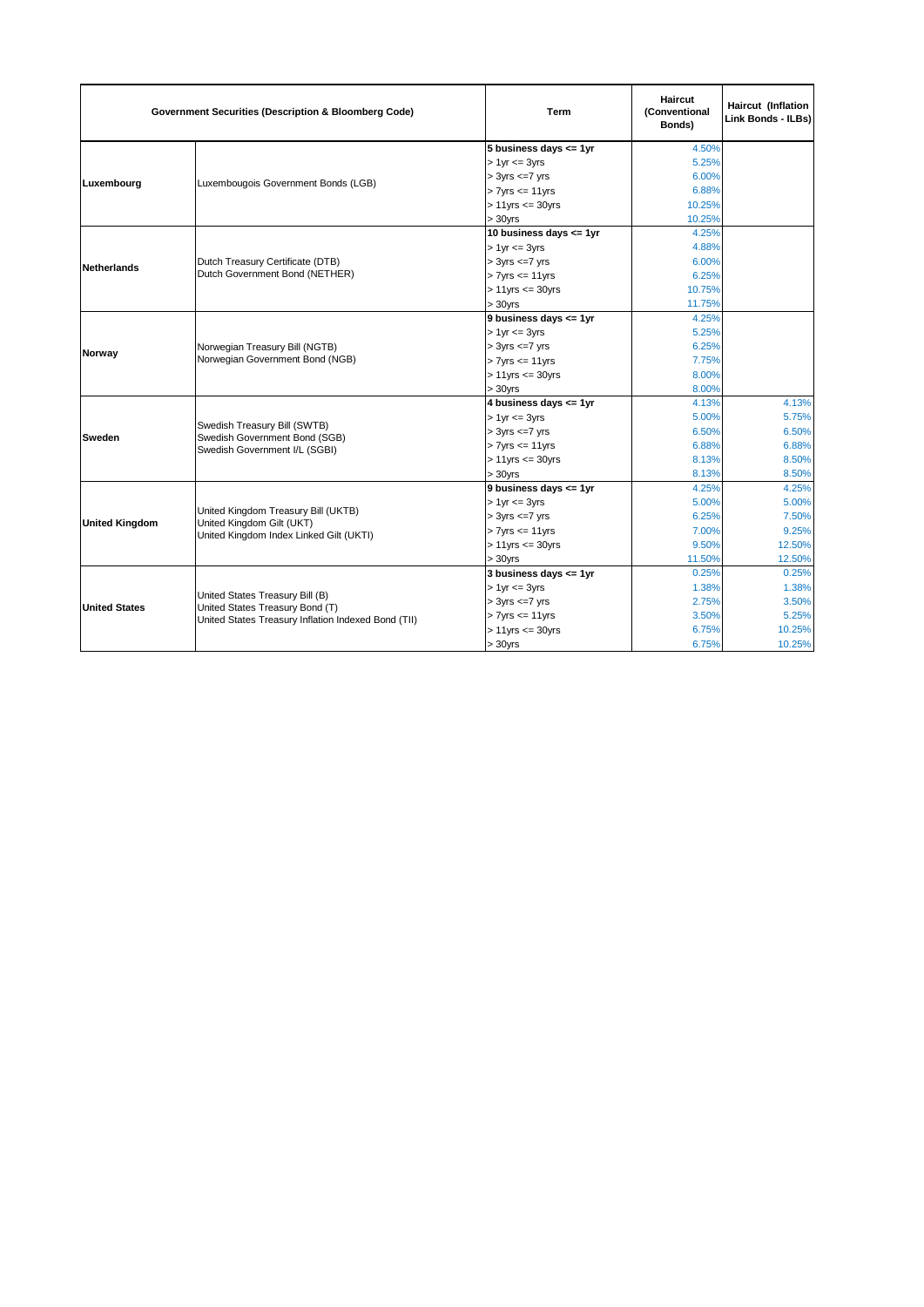| <b>Government Securities (Description &amp; Bloomberg Code)</b> |                                                                                                                           | <b>Term</b>                | Haircut<br>(Conventional<br>Bonds) | <b>Haircut (Inflation</b><br>Link Bonds - ILBs) |
|-----------------------------------------------------------------|---------------------------------------------------------------------------------------------------------------------------|----------------------------|------------------------------------|-------------------------------------------------|
|                                                                 |                                                                                                                           | 5 business days $\leq$ 1yr | 4.50%                              |                                                 |
|                                                                 |                                                                                                                           | $> 1$ yr $\leq$ 3yrs       | 5.25%                              |                                                 |
|                                                                 | Luxembougois Government Bonds (LGB)                                                                                       | $> 3yrs \leq -7yrs$        | 6.00%                              |                                                 |
| Luxembourg                                                      |                                                                                                                           | $> 7yrs \leq 11yrs$        | 6.88%                              |                                                 |
|                                                                 |                                                                                                                           | $> 11$ yrs $<= 30$ yrs     | 10.25%                             |                                                 |
|                                                                 |                                                                                                                           | $> 30$ yrs                 | 10.25%                             |                                                 |
|                                                                 |                                                                                                                           | 10 business days <= 1yr    | 4.25%                              |                                                 |
|                                                                 |                                                                                                                           | $> 1$ yr $\leq$ 3yrs       | 4.88%                              |                                                 |
| <b>Netherlands</b>                                              | Dutch Treasury Certificate (DTB)                                                                                          | $> 3yrs \leq -7yrs$        | 6.00%                              |                                                 |
|                                                                 | Dutch Government Bond (NETHER)                                                                                            | $> 7$ yrs $\leq 11$ yrs    | 6.25%                              |                                                 |
|                                                                 |                                                                                                                           | $> 11$ yrs $<= 30$ yrs     | 10.75%                             |                                                 |
|                                                                 |                                                                                                                           | $> 30$ yrs                 | 11.75%                             |                                                 |
|                                                                 |                                                                                                                           | 9 business days <= 1yr     | 4.25%                              |                                                 |
|                                                                 |                                                                                                                           | $> 1$ yr $\leq$ 3yrs       | 5.25%                              |                                                 |
| Norway                                                          | Norwegian Treasury Bill (NGTB)                                                                                            | $> 3yrs \leq -7yrs$        | 6.25%                              |                                                 |
|                                                                 | Norwegian Government Bond (NGB)                                                                                           | $> 7$ yrs $\leq 11$ yrs    | 7.75%                              |                                                 |
|                                                                 |                                                                                                                           | $> 11$ yrs $<= 30$ yrs     | 8.00%                              |                                                 |
|                                                                 |                                                                                                                           | $> 30$ yrs                 | 8.00%                              |                                                 |
|                                                                 |                                                                                                                           | 4 business days <= 1yr     | 4.13%                              | 4.13%                                           |
|                                                                 | Swedish Treasury Bill (SWTB)<br>Swedish Government Bond (SGB)<br>Swedish Government I/L (SGBI)                            | $> 1$ yr $\leq$ 3yrs       | 5.00%                              | 5.75%                                           |
| Sweden                                                          |                                                                                                                           | $> 3yrs \leq -7yrs$        | 6.50%                              | 6.50%                                           |
|                                                                 |                                                                                                                           | $> 7yrs \leq 11yrs$        | 6.88%                              | 6.88%                                           |
|                                                                 |                                                                                                                           | $> 11$ yrs $<= 30$ yrs     | 8.13%                              | 8.50%                                           |
|                                                                 |                                                                                                                           | $> 30$ yrs                 | 8.13%                              | 8.50%                                           |
|                                                                 |                                                                                                                           | 9 business days <= 1yr     | 4.25%                              | 4.25%                                           |
|                                                                 | United Kingdom Treasury Bill (UKTB)<br>United Kingdom Gilt (UKT)<br>United Kingdom Index Linked Gilt (UKTI)               | $> 1$ yr $\leq$ 3yrs       | 5.00%                              | 5.00%                                           |
| <b>United Kingdom</b>                                           |                                                                                                                           | $> 3yrs \leq -7yrs$        | 6.25%                              | 7.50%                                           |
|                                                                 |                                                                                                                           | $> 7yrs \leq 11yrs$        | 7.00%                              | 9.25%                                           |
|                                                                 |                                                                                                                           | $> 11$ yrs $<= 30$ yrs     | 9.50%                              | 12.50%                                          |
|                                                                 |                                                                                                                           | $> 30$ yrs                 | 11.50%                             | 12.50%                                          |
| <b>United States</b>                                            |                                                                                                                           | 3 business days <= 1yr     | 0.25%                              | 0.25%                                           |
|                                                                 | United States Treasury Bill (B)<br>United States Treasury Bond (T)<br>United States Treasury Inflation Indexed Bond (TII) | $> 1$ yr $<= 3$ yrs        | 1.38%                              | 1.38%                                           |
|                                                                 |                                                                                                                           | $> 3yrs \leq -7yrs$        | 2.75%                              | 3.50%                                           |
|                                                                 |                                                                                                                           | $> 7$ yrs $\leq 11$ yrs    | 3.50%                              | 5.25%                                           |
|                                                                 |                                                                                                                           | $> 11$ yrs $<= 30$ yrs     | 6.75%                              | 10.25%                                          |
|                                                                 |                                                                                                                           | $> 30$ yrs                 | 6.75%                              | 10.25%                                          |